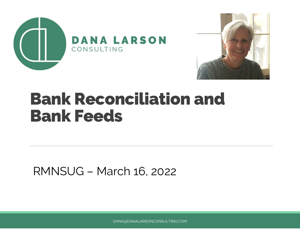



#### Bank Reconciliation and Bank Feeds

RMNSUG – March 16, 2022

DANA@DANALARSONCONSULTING.COM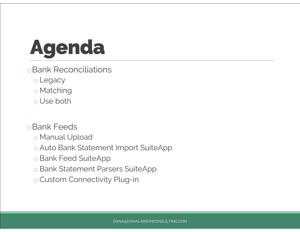## Agenda

- oBank Reconciliations
	- o Legacy
	- o Matching
	- o Use both
- oBank Feeds
	- o Manual Upload
	- o Auto Bank Statement Import SuiteApp
	- o Bank Feed SuiteApp
	- o Bank Statement Parsers SuiteApp
	- o Custom Connectivity Plug-in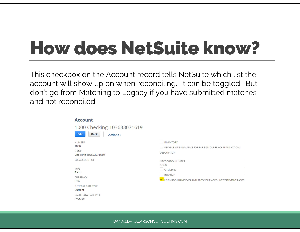#### How does NetSuite know?

This checkbox on the Account record tells NetSuite which list the account will show up on when reconciling. It can be toggled. But don't go from Matching to Legacy if you have submitted matches and not reconciled.

| <b>Account</b>                                                        |                                                                                                  |
|-----------------------------------------------------------------------|--------------------------------------------------------------------------------------------------|
| 1000 Checking-103683071619<br><b>Edit</b><br><b>Back</b><br>Actions - |                                                                                                  |
| <b>NUMBER</b><br>1000<br><b>NAME</b><br>Checking-103683071619         | <b>INVENTORY</b><br>REVALUE OPEN BALANCE FOR FOREIGN CURRENCY TRANSACTIONS<br><b>DESCRIPTION</b> |
| SUBACCOUNT OF<br>TYPE<br>Bank                                         | NEXT CHECK NUMBER<br>6,368<br>it.<br>SUMMARY                                                     |
| CURRENCY<br><b>USA</b>                                                | INACTIVE<br>USE MATCH BANK DATA AND RECONCILE ACCOUNT STATEMENT PAGES                            |
| <b>GENERAL RATE TYPE</b><br>Current                                   |                                                                                                  |
| CASH FLOW RATE TYPE<br>Average                                        |                                                                                                  |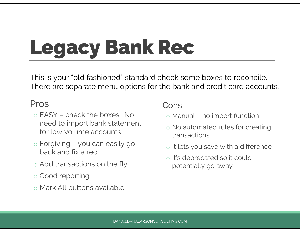# Legacy Bank Rec

eck some boxes to reconcile.<br>e bank and credit card accounts.<br>Cons<br>o Manual – no import function<br>o No automated rules for creating This is your "old fashioned" standard check some boxes to reconcile. There are separate menu options for the bank and credit card accounts.

#### Pros

- This is your "old fashioned" standar<br>There are separate menu options for<br>Pros<br>The EASY check the boxes. No<br>Theed to import bank statement need to import bank statement for low volume accounts Pros<br>
o EASY – check the boxes. No<br>
need to import bank statement<br>
for low volume accounts<br>
o Forgiving – you can easily go<br>
back and fix a rec
- back and fix a rec
- o Add transactions on the fly
- o Good reporting
- o Mark All buttons available

#### Cons

- 
- o No automated rules for creating transactions
- o It lets you save with a difference
- o It's deprecated so it could potentially go away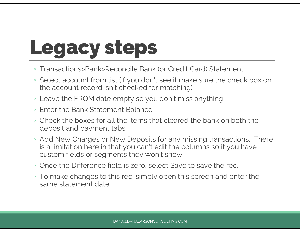## Legacy steps

- Transactions>Bank>Reconcile Bank (or Credit Card) Statement
- Select account from list (if you don't see it make sure the check box on the account record isn't checked for matching)
- Leave the FROM date empty so you don't miss anything
- Enter the Bank Statement Balance
- Check the boxes for all the items that cleared the bank on both the deposit and payment tabs
- Add New Charges or New Deposits for any missing transactions. There is a limitation here in that you can't edit the columns so if you have custom fields or segments they won't show
- Once the Difference field is zero, select Save to save the rec.
- To make changes to this rec, simply open this screen and enter the same statement date.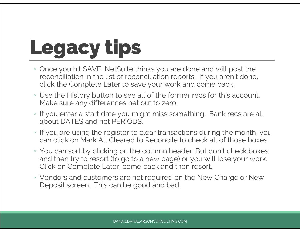## Legacy tips

- Once you hit SAVE, NetSuite thinks you are done and will post the reconciliation in the list of reconciliation reports. If you aren't done, click the Complete Later to save your work and come back.
- Use the History button to see all of the former recs for this account. Make sure any differences net out to zero.
- If you enter a start date you might miss something. Bank recs are all about DATES and not PERIODS.
- If you are using the register to clear transactions during the month, you can click on Mark All Cleared to Reconcile to check all of those boxes.
- You can sort by clicking on the column header. But don't check boxes and then try to resort (to go to a new page) or you will lose your work. Click on Complete Later, come back and then resort.
- Vendors and customers are not required on the New Charge or New Deposit screen. This can be good and bad.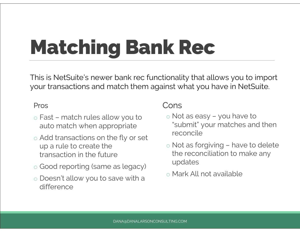# Matching Bank Rec

This is NetSuite's newer bank rec fun<br>
rour transactions and match them ag<br>
Pros<br>
o Fast – match rules allow you to<br>
auto match when appropriate This is NetSuite's newer bank rec functionality that allows you to import your transactions and match them against what you have in NetSuite.

#### Pros

- auto match when appropriate
- o Add transactions on the fly or set up a rule to create the transaction in the future
- o Good reporting (same as legacy)
- o Doesn't allow you to save with a difference

#### Cons

- onality that allows you to import<br>nst what you have in NetSuite.<br>Cons<br>© Not as easy you have to<br>"submit" your matches and then "submit" your matches and then reconcile Cons<br>  $\circ$  Not as easy – you have to<br>
"submit" your matches and then<br>
reconcile<br>  $\circ$  Not as forgiving – have to delete<br>
the reconciliation to make any
- the reconciliation to make any updates
- o Mark All not available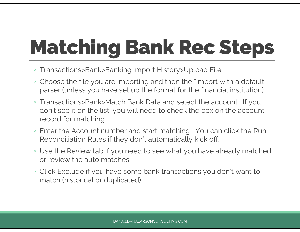# Matching Bank Rec Steps

- Transactions>Bank>Banking Import History>Upload File
- Choose the file you are importing and then the "import with a default parser (unless you have set up the format for the financial institution).
- Transactions>Bank>Match Bank Data and select the account. If you don't see it on the list, you will need to check the box on the account record for matching.
- Enter the Account number and start matching! You can click the Run Reconciliation Rules if they don't automatically kick off.
- Use the Review tab if you need to see what you have already matched or review the auto matches.
- Click Exclude if you have some bank transactions you don't want to match (historical or duplicated)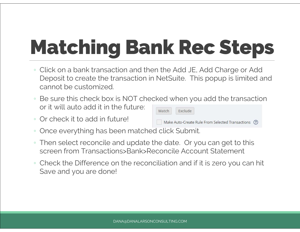# Matching Bank Rec Steps

- Click on a bank transaction and then the Add JE, Add Charge or Add Deposit to create the transaction in NetSuite. This popup is limited and cannot be customized.
- Be sure this check box is NOT checked when you add the transaction or it will auto add it in the future:
- Or check it to add in future!

| Match | clude: |
|-------|--------|
|       |        |

Make Auto-Create Rule From Selected Transactions (?)

- Once everything has been matched click Submit.
- Then select reconcile and update the date. Or you can get to this screen from Transactions>Bank>Reconcile Account Statement
- Check the Difference on the reconciliation and if it is zero you can hit Save and you are done!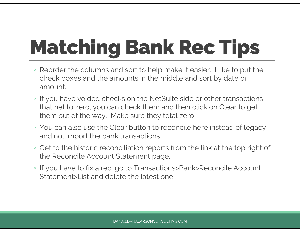# Matching Bank Rec Tips

- Reorder the columns and sort to help make it easier. I like to put the check boxes and the amounts in the middle and sort by date or amount.
- If you have voided checks on the NetSuite side or other transactions that net to zero, you can check them and then click on Clear to get them out of the way. Make sure they total zero!
- You can also use the Clear button to reconcile here instead of legacy and not import the bank transactions.
- Get to the historic reconciliation reports from the link at the top right of the Reconcile Account Statement page.
- If you have to fix a rec, go to Transactions>Bank>Reconcile Account Statement>List and delete the latest one.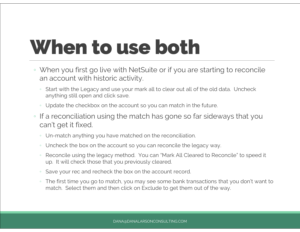## When to use both

- When you first go live with NetSuite or if you are starting to reconcile an account with historic activity.
	- Start with the Legacy and use your mark all to clear out all of the old data. Uncheck anything still open and click save.
	- Update the checkbox on the account so you can match in the future.
- If a reconciliation using the match has gone so far sideways that you can't get it fixed.
	- Un-match anything you have matched on the reconciliation.
	- Uncheck the box on the account so you can reconcile the legacy way.
	- Reconcile using the legacy method. You can "Mark All Cleared to Reconcile" to speed it up. It will check those that you previously cleared.
	- Save your rec and recheck the box on the account record.
	- The first time you go to match, you may see some bank transactions that you don't want to match. Select them and then click on Exclude to get them out of the way.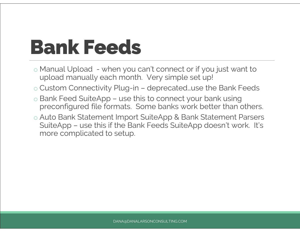### Bank Feeds

- Bank Feeds<br>
 Manual Upload when you can't connect or if you just want to<br>
upload manually each month. Very simple set up! upload manually each month. Very simple set up! **Bank Feeds**<br> **Example 3**<br> **Example and Allen Connect of Section Connect of Section Connectivity Plug-in – deprecated…use the Bank Feeds<br>
<b>Examk Feed SuiteApp – use this to connect your bank using**
- 
- ⊙ Manual Upload when you can't connect or if you just want to upload manually each month. Very simple set up!<br>○ Custom Connectivity Plug-in deprecated…use the Bank Feeds<br>○ Bank Feed SuiteApp use this to connect your preconfigured file formats. Some banks work better than others.
- o Auto Bank Statement Import SuiteApp & Bank Statement Parsers Custom Connectivity Plug-in – deprecated...use the Bank Feeds<br>Bank Feed SuiteApp – use this to connect your bank using<br>preconfigured file formats. Some banks work better than others.<br>Auto Bank Statement Import SuiteApp & B more complicated to setup.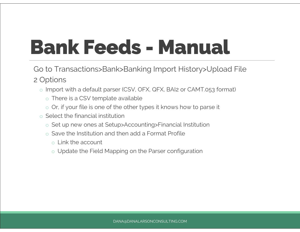## Bank Feeds - Manual

Go to Transactions>Bank>Banking Import History>Upload File 2 Options

- o Import with a default parser (CSV, OFX, QFX, BAI2 or CAMT.053 format)
	- o There is a CSV template available
	- o Or, if your file is one of the other types it knows how to parse it
- o Select the financial institution
	- o Set up new ones at Setup>Accounting>Financial Institution
	- o Save the Institution and then add a Format Profile
		- o Link the account
		- o Update the Field Mapping on the Parser configuration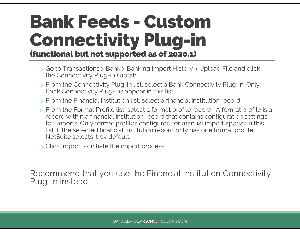#### Bank Feeds - Custom Connectivity Plug-in (functional but not supported as of 2020.1) **Connectivity Plug-in<br>
Connectivity Plug-in<br>
Co to Transactions > Bank > Banking Import History > Upload File and click<br>
the Connectivity Plug-in subtab. DINECTIVITY Plug<br>
Co to Transactions > Bank > Banking Import H<br>
the Connectivity Plug-in subtab.<br>
From the Connectivity Plug-in list, select a Ban o From the Connectivity Plug-in subtable Solar Plug-in Solar Connectivity Plug-in subtable Select a Bank Connectivity Plug-in subtable Select a Bank Connectivity Plug-in. Only Bank Connectivity Plug-ins appear in this lis**

- 
- Bank Connectivity Plug-ins appear in this list. o Go to Transactions > Bank > Banking Import History > Upload File and cl<br>the Connectivity Plug-in subtab.<br>
○ From the Connectivity Plug-in list, select a Bank Connectivity Plug-in. Of<br>
Bank Connectivity Plug-ins appear i
- 
- o Go to Transactions > Bank > Banking Import History > Upload File and click<br>the Connectivity Plug-in subtab.<br>
 From the Connectivity Plug-ins appear in this list.<br>
 From the Financial Institution list, select a financi record within a financial institution record that contains configuration settings for imports. Only format profiles configured for manual import appear in this list. If the selected financial institution record only has one format profile, NetSuite selects it by default. ⊙ From the Financial Institution list, select a final<br>
c From the Format Profile list, select a format p<br>
record within a financial institution record that<br>
for imports. Only format profiles configured fo<br>
list. If the se
- 

Recommend that you use the Financial Institution Connectivity Plug-in instead.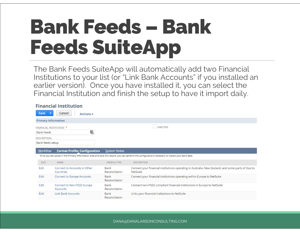### Bank Feeds – Bank Feeds SuiteApp

The Bank Feeds SuiteApp will automatically add two Financial Institutions to your list (or "Link Bank Accounts" if you installed an earlier version). Once you have installed it, you can select the Financial Institution and finish the setup to have it import daily.

|                                         | <b>Financial Institution</b>              |                        |                                                                                                                                                  |
|-----------------------------------------|-------------------------------------------|------------------------|--------------------------------------------------------------------------------------------------------------------------------------------------|
| <b>Save</b><br>$\mathbf{v}$             | Cancel<br>Actions -                       |                        |                                                                                                                                                  |
| <b>Primary Information</b>              |                                           |                        |                                                                                                                                                  |
| FINANCIAL INSTITUTION *                 |                                           |                        | <b>INACTIVE</b>                                                                                                                                  |
| <b>Bank Feeds</b><br><b>DESCRIPTION</b> | 靊                                         |                        |                                                                                                                                                  |
| Bank feeds setup                        |                                           |                        |                                                                                                                                                  |
|                                         |                                           |                        |                                                                                                                                                  |
| <b>Workflow</b>                         | <b>Format Profile: Configuration</b>      | <b>System Notes</b>    |                                                                                                                                                  |
|                                         |                                           |                        | Once you set values in the Primary Information area and save this record, you can perform the configurations necessary to import your bank data. |
| <b>EDIT</b>                             | NAME                                      | PROFILE TYPE           | <b>DESCRIPTION</b>                                                                                                                               |
| Edit                                    | Connect to Accounts in Other<br>Countries | Bank<br>Reconciliation | Connect your financial institutions operating in Australia, New Zealand, and some parts of Asia to<br><b>NetSuite</b>                            |
| Edit                                    | <b>Connect to Europe Accounts</b>         | Bank<br>Reconciliation | Connect your financial institutions operating within Europe to NetSuite                                                                          |
| Edit                                    | Connect to Non-PSD2 Europe<br>Accounts    | Bank<br>Reconciliation | Connect non-PSD2 compliant financial institutions in Europe to NetSuite                                                                          |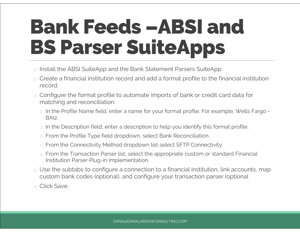### Bank Feeds –ABSI and BS Parser SuiteApps

- o Install the ABSI SuiteApp and the Bank Statement Parsers SuiteApp
- o Create a financial institution record and add a format profile to the financial institution record. Install the ABSI SuiteApp and the Bank Statement Parsers SuiteApp<br>Create a financial institution record and add a format profile to the financial institution<br>record.<br>Configure the format profile to automate imports of bank
- o Configure the format profile to automate imports of bank or credit card data for matching and reconciliation: or a misineal mentation record and a distribute profile to the misineal metal<br>record.<br>Configure the format profile to automate imports of bank or credit card data for<br>matching and reconciliation:<br>o In the Profile Name fiel Configure the format profile to automate imports of bank or credit of matching and reconciliation:<br>
○ In the Profile Name field, enter a name for your format profile. For exa<br>
BAI2.<br>
○ In the Description field, enter a de
	- BAI2. o In the Profile Name field, enter a name for your format profile. For example, Nevative Assals. The Description field, enter a description to help you identify this format profile Type field dropdown, select Bank Reconci o In the Profile Name field, enter a name for your format profile. For example, Wells Fargo -<br>
	BAI2.<br>
	○ In the Description field, enter a description to help you identify this format profile.<br>
	○ From the Profile Type fiel
	-
	-
	-
	- Institution Parser Plug-in implementation.
- o Use the subtabs to configure a connection to a financial institution, link accounts, map custom bank codes (optional), and configure your transaction parser (optional o From the Connectivity Meth<br>
⊙ From the Transaction Parse<br>
Institution Parser Plug-in im<br>
◯ Use the subtabs to configur<br>
custom bank codes (optiona<br>
◯ Click Save.
-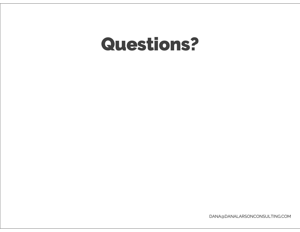#### Questions?

DANA@DANALARSONCONSULTING.COM